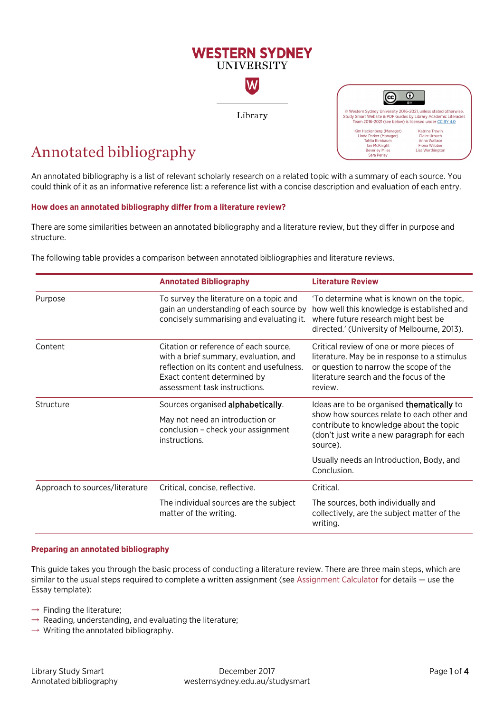# **WESTERN SYDNEY IINIVERSITY**

W

Library

# Annotated bibliography

An annotated bibliography is a list of relevant scholarly research on a related topic with a summary of each source. You could think of it as an informative reference list: a reference list with a concise description and evaluation of each entry.

### **How does an annotated bibliography differ from a literature review?**

There are some similarities between an annotated bibliography and a literature review, but they differ in purpose and structure.

The following table provides a comparison between annotated bibliographies and literature reviews.

|                                | <b>Annotated Bibliography</b>                                                                                                                                                                                                                                                                                                                                                          | <b>Literature Review</b>                                                                                                                                                      |  |
|--------------------------------|----------------------------------------------------------------------------------------------------------------------------------------------------------------------------------------------------------------------------------------------------------------------------------------------------------------------------------------------------------------------------------------|-------------------------------------------------------------------------------------------------------------------------------------------------------------------------------|--|
| Purpose                        | To survey the literature on a topic and<br>gain an understanding of each source by<br>concisely summarising and evaluating it.                                                                                                                                                                                                                                                         | 'To determine what is known on the topic,<br>how well this knowledge is established and<br>where future research might best be<br>directed.' (University of Melbourne, 2013). |  |
| Content                        | Citation or reference of each source,<br>Critical review of one or more pieces of<br>with a brief summary, evaluation, and<br>literature. May be in response to a stimulus<br>reflection on its content and usefulness.<br>or question to narrow the scope of the<br>literature search and the focus of the<br>Exact content determined by<br>assessment task instructions.<br>review. |                                                                                                                                                                               |  |
| Structure                      | Sources organised alphabetically.                                                                                                                                                                                                                                                                                                                                                      | Ideas are to be organised thematically to                                                                                                                                     |  |
|                                | show how sources relate to each other and<br>May not need an introduction or<br>contribute to knowledge about the topic<br>conclusion - check your assignment<br>(don't just write a new paragraph for each<br>instructions.<br>source).                                                                                                                                               |                                                                                                                                                                               |  |
|                                |                                                                                                                                                                                                                                                                                                                                                                                        | Usually needs an Introduction, Body, and<br>Conclusion.                                                                                                                       |  |
| Approach to sources/literature | Critical, concise, reflective.                                                                                                                                                                                                                                                                                                                                                         | Critical.                                                                                                                                                                     |  |
|                                | The individual sources are the subject<br>matter of the writing.                                                                                                                                                                                                                                                                                                                       | The sources, both individually and<br>collectively, are the subject matter of the<br>writing.                                                                                 |  |

#### **Preparing an annotated bibliography**

This guide takes you through the basic process of conducting a literature review. There are three main steps, which are similar to the usual steps required to complete a written assignment (se[e Assignment Calculator](http://library.westernsydney.edu.au/assignmentcalculator/) for details — use the Essay template):

- $\rightarrow$  Finding the literature;
- $\rightarrow$  Reading, understanding, and evaluating the literature;
- $\rightarrow$  Writing the annotated bibliography.

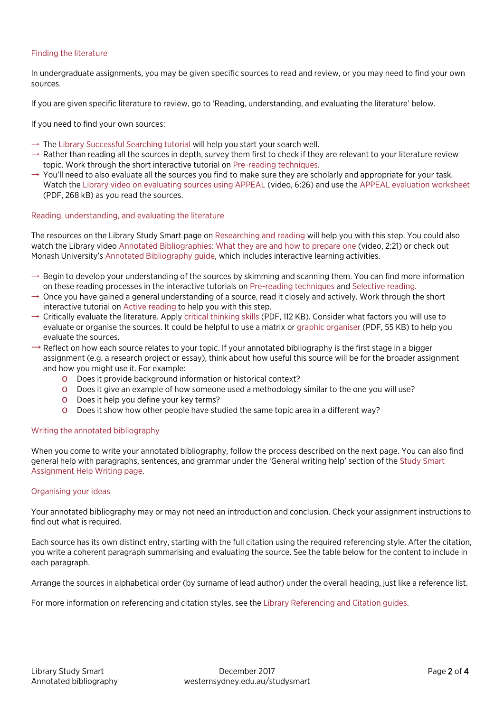# Finding the literature

In undergraduate assignments, you may be given specific sources to read and review, or you may need to find your own sources.

If you are given specific literature to review, go to 'Reading, understanding, and evaluating the literature' below.

If you need to find your own sources:

- $\rightarrow$  The [Library Successful Searching tutorial](http://library.westernsydney.edu.au/main/guides/online-tutorials/successful-searching) will help you start your search well.
- $\rightarrow$  Rather than reading all the sources in depth, survey them first to check if they are relevant to your literature review topic. Work through the short interactive tutorial on [Pre-reading techniques.](https://library.westernsydney.edu.au/al_prereading/story.html)
- $\rightarrow$  You'll need to also evaluate all the sources you find to make sure they are scholarly and appropriate for your task. Watch the [Library video on evaluating sources using APPEAL](http://handle.westernsydney.edu.au:8081/1959.7/LIB-APPRES) (video, 6:26) and use the [APPEAL evaluation worksheet](http://www.westernsydney.edu.au/__data/assets/pdf_file/0004/1237963/APPEAL_worksheet_form.pdf) (PDF, 268 kB) as you read the sources.

### Reading, understanding, and evaluating the literature

The resources on the Library Study Smart page on [Researching and reading](https://westernsydney.edu.au/studysmart/home/assignment_help/researching_and_reading) will help you with this step. You could also watch the Library vide[o Annotated Bibliographies: What they are and how to prepare one](https://www.youtube.com/watch?v=3f2IME6KLiM) (video, 2:21) or check out Monash University's [Annotated Bibliography guide,](http://www.monash.edu/rlo/assignment-samples/assignment-types/annotated-bibliography) which includes interactive learning activities.

- $\rightarrow$  Begin to develop your understanding of the sources by skimming and scanning them. You can find more information on these reading processes in the interactive tutorials on [Pre-reading techniques](https://library.westernsydney.edu.au/al_prereading/story.html) and [Selective reading.](https://library.westernsydney.edu.au/al_selectivereading/story.html)
- $\rightarrow$  Once you have gained a general understanding of a source, read it closely and actively. Work through the short interactive tutorial o[n Active reading](https://library.westernsydney.edu.au/al_activereading/story.html) to help you with this step.
- $\rightarrow$  Critically evaluate the literature. Apply [critical thinking skills](https://westernsydney.edu.au/__data/assets/pdf_file/0006/1082382/Critical_Thinking.pdf) (PDF, 112 KB). Consider what factors you will use to evaluate or organise the sources. It could be helpful to use a matrix or [graphic organiser](https://www.westernsydney.edu.au/__data/assets/pdf_file/0009/1249371/Reading_graphic_organiser.pdf) (PDF, 55 KB) to help you evaluate the sources.
- $\rightarrow$  Reflect on how each source relates to your topic. If your annotated bibliography is the first stage in a bigger assignment (e.g. a research project or essay), think about how useful this source will be for the broader assignment and how you might use it. For example:
	- o Does it provide background information or historical context?
	- o Does it give an example of how someone used a methodology similar to the one you will use?
	- o Does it help you define your key terms?
	- o Does it show how other people have studied the same topic area in a different way?

#### Writing the annotated bibliography

When you come to write your annotated bibliography, follow the process described on the next page. You can also find general help with paragraphs, sentences, and grammar under the 'General writing help' section of the [Study Smart](https://westernsydney.edu.au/studysmart/home/assignment_help/writing)  [Assignment Help Writing page.](https://westernsydney.edu.au/studysmart/home/assignment_help/writing) 

#### Organising your ideas

Your annotated bibliography may or may not need an introduction and conclusion. Check your assignment instructions to find out what is required.

Each source has its own distinct entry, starting with the full citation using the required referencing style. After the citation, you write a coherent paragraph summarising and evaluating the source. See the table below for the content to include in each paragraph.

Arrange the sources in alphabetical order (by surname of lead author) under the overall heading, just like a reference list.

For more information on referencing and citation styles, see the [Library Referencing and Citation guides](http://library.westernsydney.edu.au/main/guides/referencing-citation).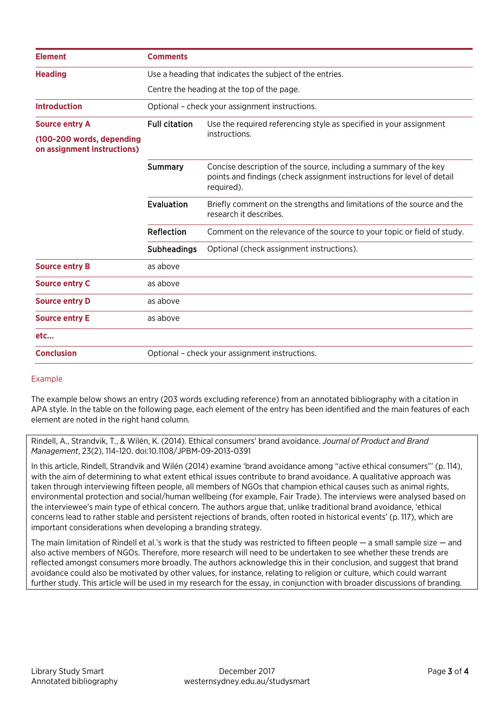| <b>Element</b>                                           | <b>Comments</b>                                          |                                                                                                                                                           |  |
|----------------------------------------------------------|----------------------------------------------------------|-----------------------------------------------------------------------------------------------------------------------------------------------------------|--|
| <b>Heading</b>                                           | Use a heading that indicates the subject of the entries. |                                                                                                                                                           |  |
|                                                          | Centre the heading at the top of the page.               |                                                                                                                                                           |  |
| <b>Introduction</b>                                      | Optional - check your assignment instructions.           |                                                                                                                                                           |  |
| <b>Source entry A</b>                                    | <b>Full citation</b>                                     | Use the required referencing style as specified in your assignment                                                                                        |  |
| (100-200 words, depending<br>on assignment instructions) |                                                          | instructions.                                                                                                                                             |  |
|                                                          | <b>Summary</b>                                           | Concise description of the source, including a summary of the key<br>points and findings (check assignment instructions for level of detail<br>required). |  |
|                                                          | Evaluation                                               | Briefly comment on the strengths and limitations of the source and the<br>research it describes.                                                          |  |
|                                                          | Reflection                                               | Comment on the relevance of the source to your topic or field of study.                                                                                   |  |
|                                                          | <b>Subheadings</b>                                       | Optional (check assignment instructions).                                                                                                                 |  |
| <b>Source entry B</b>                                    | as above                                                 |                                                                                                                                                           |  |
| <b>Source entry C</b>                                    | as above                                                 |                                                                                                                                                           |  |
| <b>Source entry D</b>                                    | as above                                                 |                                                                                                                                                           |  |
| <b>Source entry E</b>                                    | as above                                                 |                                                                                                                                                           |  |
| etc                                                      |                                                          |                                                                                                                                                           |  |
| <b>Conclusion</b>                                        |                                                          | Optional - check your assignment instructions.                                                                                                            |  |

# Example

The example below shows an entry (203 words excluding reference) from an annotated bibliography with a citation in APA style. In the table on the following page, each element of the entry has been identified and the main features of each element are noted in the right hand column.

Rindell, A., Strandvik, T., & Wilén, K. (2014). Ethical consumers' brand avoidance. *Journal of Product and Brand Management*, 23(2), 114-120. doi:10.1108/JPBM-09-2013-0391

In this article, Rindell, Strandvik and Wilén (2014) examine 'brand avoidance among "active ethical consumers"' (p. 114), with the aim of determining to what extent ethical issues contribute to brand avoidance. A qualitative approach was taken through interviewing fifteen people, all members of NGOs that champion ethical causes such as animal rights, environmental protection and social/human wellbeing (for example, Fair Trade). The interviews were analysed based on the interviewee's main type of ethical concern. The authors argue that, unlike traditional brand avoidance, 'ethical concerns lead to rather stable and persistent rejections of brands, often rooted in historical events' (p. 117), which are important considerations when developing a branding strategy.

The main limitation of Rindell et al.'s work is that the study was restricted to fifteen people — a small sample size — and also active members of NGOs. Therefore, more research will need to be undertaken to see whether these trends are reflected amongst consumers more broadly. The authors acknowledge this in their conclusion, and suggest that brand avoidance could also be motivated by other values, for instance, relating to religion or culture, which could warrant further study. This article will be used in my research for the essay, in conjunction with broader discussions of branding.